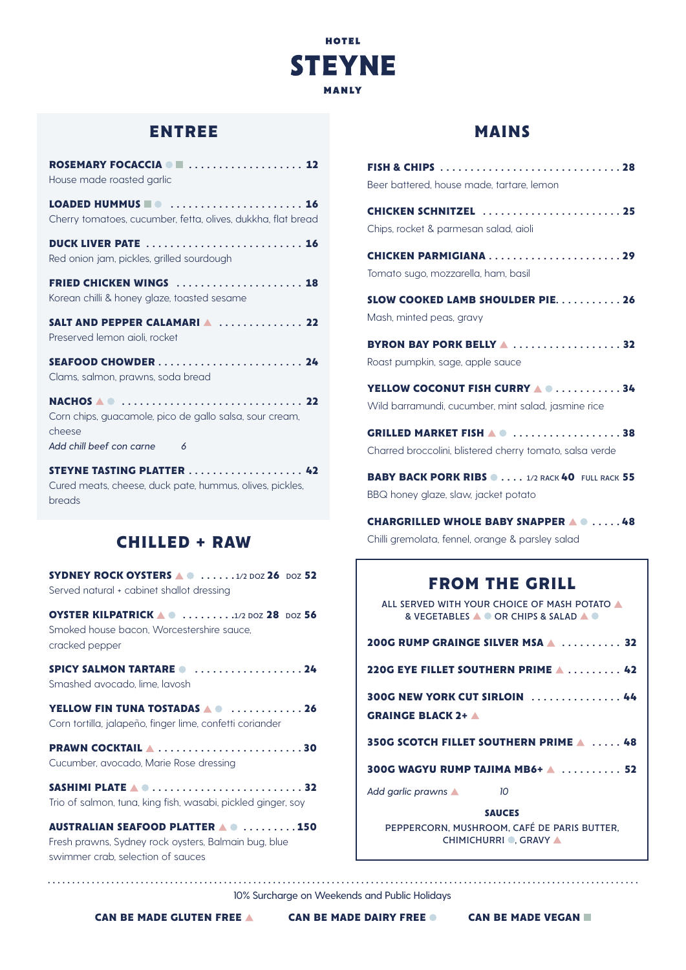

## **ENTREE**

| ROSEMARY FOCACCIA I  12<br>House made roasted garlic                                                     |
|----------------------------------------------------------------------------------------------------------|
| LOADED HUMMUS <b>OF STATE AND ASSESS</b><br>Cherry tomatoes, cucumber, fetta, olives, dukkha, flat bread |
| <b>DUCK LIVER PATE  16</b><br>Red onion jam, pickles, grilled sourdough                                  |
| FRIED CHICKEN WINGS  18<br>Korean chilli & honey glaze, toasted sesame                                   |
| SALT AND PEPPER CALAMARIA  22<br>Preserved lemon aioli, rocket                                           |
| Clams, salmon, prawns, soda bread                                                                        |
| Corn chips, guacamole, pico de gallo salsa, sour cream,<br>cheese<br>Add chill beef con carne<br>6       |
| <b>STEYNE TASTING PLATTER  42</b><br>Cured meats, cheese, duck pate, hummus, olives, pickles,            |

breads

## **CHILLED + RAW**

**SYDNEY ROCK OYSTERS . . . . .** 1/2 DOZ **26** DOZ **52** Served natural + cabinet shallot dressing

**OYSTER KILPATRICK . . . . . . . .** 1/2 DOZ **28** DOZ **56** Smoked house bacon, Worcestershire sauce, cracked pepper

**SPICY SALMON TARTARE**  .....................24 Smashed avocado, lime, lavosh

**YELLOW FIN TUNA TOSTADAS A @ ............ 26** Corn tortilla, jalapeño, finger lime, confetti coriander

**PRAWN COCKTAIL . . . . . . . . . . . . . . . . . . . . . . . 30** Cucumber, avocado, Marie Rose dressing

**SASHIMI PLATE A 0............................... 32** Trio of salmon, tuna, king fish, wasabi, pickled ginger, soy

**AUSTRALIAN SEAFOOD PLATTER A @ .........150** Fresh prawns, Sydney rock oysters, Balmain bug, blue swimmer crab, selection of sauces

### **MAINS**

| Beer battered, house made, tartare, lemon                                                     |
|-----------------------------------------------------------------------------------------------|
| <b>CHICKEN SCHNITZEL</b> 25<br>Chips, rocket & parmesan salad, aioli                          |
| <b>CHICKEN PARMIGIANA29</b><br>Tomato sugo, mozzarella, ham, basil                            |
| <b>SLOW COOKED LAMB SHOULDER PIE. 26</b><br>Mash, minted peas, gravy                          |
| BYRON BAY PORK BELLY 4 32<br>Roast pumpkin, sage, apple sauce                                 |
| YELLOW COCONUT FISH CURRY 4 0 34<br>Wild barramundi, cucumber, mint salad, jasmine rice       |
| <b>GRILLED MARKET FISH AO 38</b><br>Charred broccolini, blistered cherry tomato, salsa verde  |
| <b>BABY BACK PORK RIBS @ 1/2 RACK 40 FULL RACK 55</b><br>BBQ honey glaze, slaw, jacket potato |
| Chilli gremolata, fennel, orange & parsley salad                                              |
| EROM THE GRILL                                                                                |

# **FROM THE GRILL**

ALL SERVED WITH YOUR CHOICE OF MASH POTATO A & VEGETABLES **A OR CHIPS & SALAD A O** 

| 200G RUMP GRAINGE SILVER MSA A  32                           |  |  |  |  |  |  |  |
|--------------------------------------------------------------|--|--|--|--|--|--|--|
| 220G EYE FILLET SOUTHERN PRIME $\blacktriangle$ 42           |  |  |  |  |  |  |  |
| 300G NEW YORK CUT SIRLOIN  44<br><b>GRAINGE BLACK 2+ A</b>   |  |  |  |  |  |  |  |
| 350G SCOTCH FILLET SOUTHERN PRIME A  48                      |  |  |  |  |  |  |  |
| 300G WAGYU RUMP TAJIMA MB6+ 4  52                            |  |  |  |  |  |  |  |
| Add garlic prawns<br>10                                      |  |  |  |  |  |  |  |
| <b>SAUCES</b><br>PEPPERCORN. MUSHROOM. CAFÉ DE PARIS BUTTER. |  |  |  |  |  |  |  |

CHIMICHURRI . GRAVY A

10% Surcharge on Weekends and Public Holidays